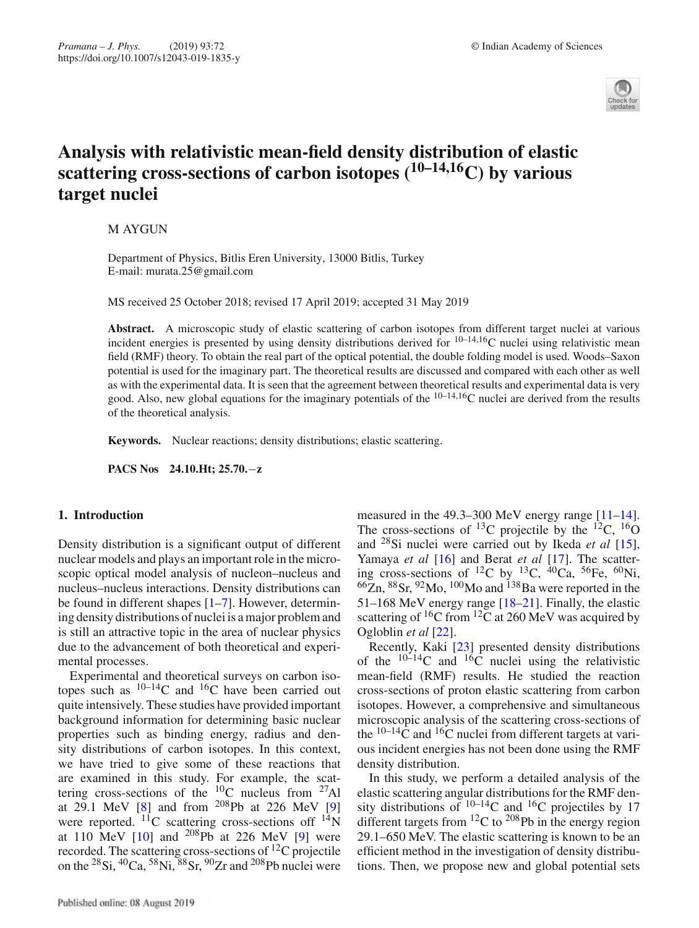

# **Analysis with relativistic mean-field density distribution of elastic scattering cross-sections of carbon isotopes (10–14,16C) by various target nuclei**

M AYGUN

Department of Physics, Bitlis Eren University, 13000 Bitlis, Turkey E-mail: murata.25@gmail.com

MS received 25 October 2018; revised 17 April 2019; accepted 31 May 2019

**Abstract.** A microscopic study of elastic scattering of carbon isotopes from different target nuclei at various incident energies is presented by using density distributions derived for  $10^{-14,16}$ C nuclei using relativistic mean field (RMF) theory. To obtain the real part of the optical potential, the double folding model is used. Woods–Saxon potential is used for the imaginary part. The theoretical results are discussed and compared with each other as well as with the experimental data. It is seen that the agreement between theoretical results and experimental data is very good. Also, new global equations for the imaginary potentials of the  $10-14,16$ C nuclei are derived from the results of the theoretical analysis.

**Keywords.** Nuclear reactions; density distributions; elastic scattering.

**PACS Nos 24.10.Ht; 25.70.**−**z**

### **1. Introduction**

Density distribution is a significant output of different nuclear models and plays an important role in the microscopic optical model analysis of nucleon–nucleus and nucleus–nucleus interactions. Density distributions can be found in different shapes [1–7]. However, determining density distributions of nuclei is a major problem and is still an attractive topic in the area of nuclear physics due to the advancement of both theoretical and experimental processes.

Experimental and theoretical surveys on carbon isotopes such as  $10^{-14}$ C and  $16$ C have been carried out quite intensively. These studies have provided important background information for determining basic nuclear properties such as binding energy, radius and density distributions of carbon isotopes. In this context, we have tried to give some of these reactions that are examined in this study. For example, the scattering cross-sections of the  $^{10}$ C nucleus from  $^{27}$ Al at 29.1 MeV [8] and from  $^{208}Pb$  at 226 MeV [9] were reported.  $^{11}$ C scattering cross-sections off  $^{14}$ N at 110 MeV  $[10]$  and <sup>208</sup>Pb at 226 MeV  $[9]$  were recorded. The scattering cross-sections of 12C projectile on the  ${}^{28}Si$ ,  ${}^{40}Ca$ ,  ${}^{58}Ni$ ,  ${}^{88}Sr$ ,  ${}^{90}Zr$  and  ${}^{208}Pb$  nuclei were measured in the 49.3–300 MeV energy range [11–14]. The cross-sections of <sup>13</sup>C projectile by the <sup>12</sup>C, <sup>16</sup>O and 28Si nuclei were carried out by Ikeda *et al* [15], Yamaya *et al* [16] and Berat *et al* [17]. The scattering cross-sections of <sup>12</sup>C by <sup>13</sup>C, <sup>40</sup>Ca, <sup>56</sup>Fe, <sup>60</sup>Ni,  $^{66}$ Zn,  $^{88}$ Sr,  $^{92}$ Mo,  $^{100}$ Mo and  $^{138}$ Ba were reported in the 51–168 MeV energy range [18–21]. Finally, the elastic scattering of  ${}^{16}C$  from  ${}^{12}C$  at 260 MeV was acquired by Ogloblin *et al* [22].

Recently, Kaki [23] presented density distributions of the  $10-14$ C and  $16\overline{C}$  nuclei using the relativistic mean-field (RMF) results. He studied the reaction cross-sections of proton elastic scattering from carbon isotopes. However, a comprehensive and simultaneous microscopic analysis of the scattering cross-sections of the  $10-14\overline{C}$  and  $16\overline{C}$  nuclei from different targets at various incident energies has not been done using the RMF density distribution.

In this study, we perform a detailed analysis of the elastic scattering angular distributions for the RMF density distributions of  $10^{-14}$ C and  $16$ C projectiles by 17 different targets from  ${}^{12}C$  to  ${}^{208}Pb$  in the energy region 29.1–650 MeV. The elastic scattering is known to be an efficient method in the investigation of density distributions. Then, we propose new and global potential sets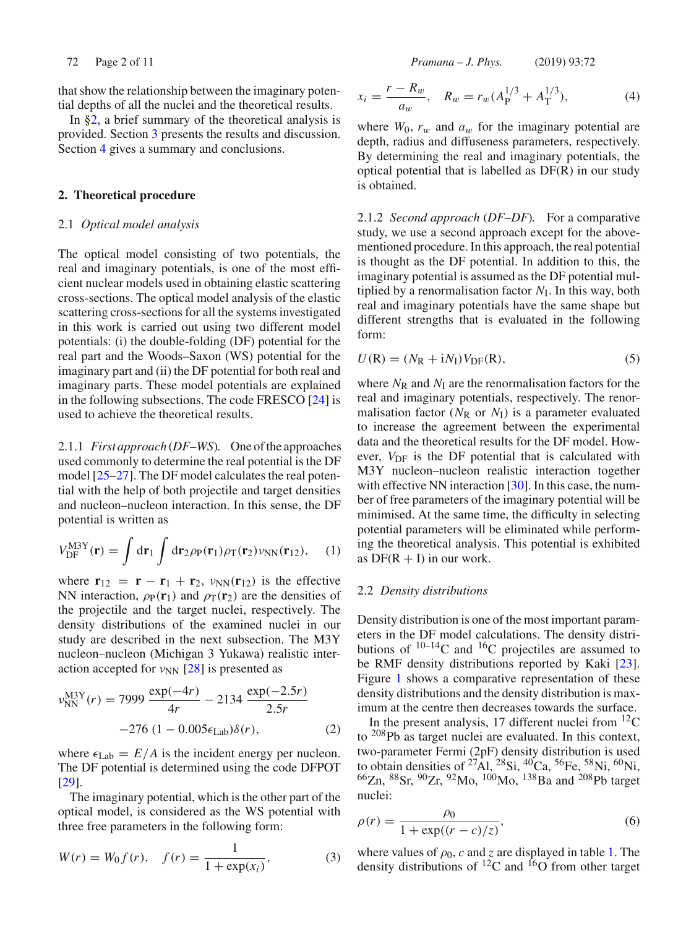that show the relationship between the imaginary potential depths of all the nuclei and the theoretical results.

In §2, a brief summary of the theoretical analysis is provided. Section 3 presents the results and discussion. Section 4 gives a summary and conclusions.

### **2. Theoretical procedure**

#### 2.1 *Optical model analysis*

The optical model consisting of two potentials, the real and imaginary potentials, is one of the most efficient nuclear models used in obtaining elastic scattering cross-sections. The optical model analysis of the elastic scattering cross-sections for all the systems investigated in this work is carried out using two different model potentials: (i) the double-folding (DF) potential for the real part and the Woods–Saxon (WS) potential for the imaginary part and (ii) the DF potential for both real and imaginary parts. These model potentials are explained in the following subsections. The code FRESCO [24] is used to achieve the theoretical results.

2.1.1 *First approach* (*DF–WS*)*.* One of the approaches used commonly to determine the real potential is the DF model [25–27]. The DF model calculates the real potential with the help of both projectile and target densities and nucleon–nucleon interaction. In this sense, the DF potential is written as

$$
V_{\rm DF}^{\rm M3Y}(\mathbf{r}) = \int d\mathbf{r}_1 \int d\mathbf{r}_2 \rho_{\rm P}(\mathbf{r}_1) \rho_{\rm T}(\mathbf{r}_2) \nu_{\rm NN}(\mathbf{r}_{12}), \quad (1)
$$

where  $\mathbf{r}_{12} = \mathbf{r} - \mathbf{r}_1 + \mathbf{r}_2$ ,  $v_{NN}(\mathbf{r}_{12})$  is the effective NN interaction,  $\rho_P(\mathbf{r}_1)$  and  $\rho_T(\mathbf{r}_2)$  are the densities of the projectile and the target nuclei, respectively. The density distributions of the examined nuclei in our study are described in the next subsection. The M3Y nucleon–nucleon (Michigan 3 Yukawa) realistic interaction accepted for  $v_{NN}$  [28] is presented as

$$
\nu_{\rm NN}^{\rm M3Y}(r) = 7999 \frac{\exp(-4r)}{4r} - 2134 \frac{\exp(-2.5r)}{2.5r} -276 (1 - 0.005 \epsilon_{\rm Lab})\delta(r), \qquad (2)
$$

where  $\epsilon_{\text{Lab}} = E/A$  is the incident energy per nucleon. The DF potential is determined using the code DFPOT [29].

The imaginary potential, which is the other part of the optical model, is considered as the WS potential with three free parameters in the following form:

$$
W(r) = W_0 f(r), \quad f(r) = \frac{1}{1 + \exp(x_i)},
$$
\n(3)

72 Page 2 of 11 *Pramana – J. Phys.* (2019) 93:72

$$
x_i = \frac{r - R_w}{a_w}, \quad R_w = r_w (A_P^{1/3} + A_T^{1/3}), \tag{4}
$$

where  $W_0$ ,  $r_w$  and  $a_w$  for the imaginary potential are depth, radius and diffuseness parameters, respectively. By determining the real and imaginary potentials, the optical potential that is labelled as DF(R) in our study is obtained.

2.1.2 *Second approach* (*DF–DF*)*.* For a comparative study, we use a second approach except for the abovementioned procedure. In this approach, the real potential is thought as the DF potential. In addition to this, the imaginary potential is assumed as the DF potential multiplied by a renormalisation factor  $N<sub>I</sub>$ . In this way, both real and imaginary potentials have the same shape but different strengths that is evaluated in the following form:

$$
U(R) = (NR + iNI)VDF(R),
$$
\n(5)

where  $N_R$  and  $N_I$  are the renormalisation factors for the real and imaginary potentials, respectively. The renormalisation factor  $(N_R \text{ or } N_I)$  is a parameter evaluated to increase the agreement between the experimental data and the theoretical results for the DF model. However,  $V_{\text{DF}}$  is the DF potential that is calculated with M3Y nucleon–nucleon realistic interaction together with effective NN interaction [30]. In this case, the number of free parameters of the imaginary potential will be minimised. At the same time, the difficulty in selecting potential parameters will be eliminated while performing the theoretical analysis. This potential is exhibited as  $DF(R + I)$  in our work.

#### 2.2 *Density distributions*

Density distribution is one of the most important parameters in the DF model calculations. The density distributions of  $10^{-14}$ C and  $16$ C projectiles are assumed to be RMF density distributions reported by Kaki [23]. Figure 1 shows a comparative representation of these density distributions and the density distribution is maximum at the centre then decreases towards the surface.

In the present analysis, 17 different nuclei from  $^{12}$ C to 208Pb as target nuclei are evaluated. In this context, two-parameter Fermi (2pF) density distribution is used to obtain densities of <sup>27</sup>Al, <sup>28</sup>Si, <sup>40</sup>Ca, <sup>56</sup>Fe, <sup>58</sup>Ni, <sup>60</sup>Ni,  $^{66}$ Zn,  $^{88}$ Sr,  $^{90}$ Zr,  $^{92}$ Mo,  $^{100}$ Mo,  $^{138}$ Ba and  $^{208}$ Pb target nuclei:

$$
\rho(r) = \frac{\rho_0}{1 + \exp((r - c)/z)},
$$
\n(6)

where values of  $\rho_0$ , *c* and *z* are displayed in table 1. The density distributions of  ${}^{12}C$  and  ${}^{16}O$  from other target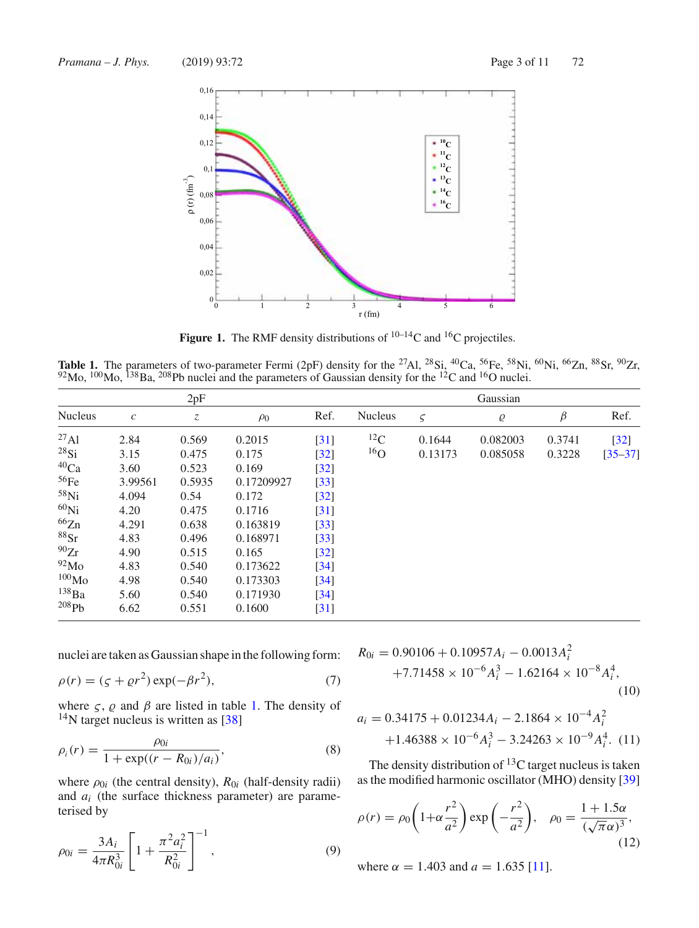

**Figure 1.** The RMF density distributions of  $^{10-14}$ C and  $^{16}$ C projectiles.

**Table 1.** The parameters of two-parameter Fermi (2pF) density for the <sup>27</sup>Al, <sup>28</sup>Si, <sup>40</sup>Ca, <sup>56</sup>Fe, <sup>58</sup>Ni, <sup>60</sup>Ni, <sup>66</sup>Zn, <sup>88</sup>Sr, <sup>90</sup>Zr,  $92$ Mo,  $100$ Mo,  $138$ Ba,  $208$ Pb nuclei and the parameters of Gaussian density for the  $12$ C and  $16$ O nuclei.

|                   |                  | 2pF           |            |        | Gaussian       |             |          |         |             |  |  |  |  |
|-------------------|------------------|---------------|------------|--------|----------------|-------------|----------|---------|-------------|--|--|--|--|
| <b>Nucleus</b>    | $\boldsymbol{c}$ | $\mathcal{Z}$ | $\rho_0$   | Ref.   | <b>Nucleus</b> | $\varsigma$ | Q        | $\beta$ | Ref.        |  |  |  |  |
| $^{27}$ Al        | 2.84             | 0.569         | 0.2015     | [31]   | ${}^{12}C$     | 0.1644      | 0.082003 | 0.3741  | $[32]$      |  |  |  |  |
| $^{28}Si$         | 3.15             | 0.475         | 0.175      | $[32]$ | $^{16}$ O      | 0.13173     | 0.085058 | 0.3228  | $[35 - 37]$ |  |  |  |  |
| $^{40}Ca$         | 3.60             | 0.523         | 0.169      | $[32]$ |                |             |          |         |             |  |  |  |  |
| 56Fe              | 3.99561          | 0.5935        | 0.17209927 | $[33]$ |                |             |          |         |             |  |  |  |  |
| $58$ Ni           | 4.094            | 0.54          | 0.172      | $[32]$ |                |             |          |         |             |  |  |  |  |
| $60$ Ni           | 4.20             | 0.475         | 0.1716     | [31]   |                |             |          |         |             |  |  |  |  |
| 66Zn              | 4.291            | 0.638         | 0.163819   | $[33]$ |                |             |          |         |             |  |  |  |  |
| $88$ Sr           | 4.83             | 0.496         | 0.168971   | $[33]$ |                |             |          |         |             |  |  |  |  |
| 90Zr              | 4.90             | 0.515         | 0.165      | $[32]$ |                |             |          |         |             |  |  |  |  |
| 92M <sub>0</sub>  | 4.83             | 0.540         | 0.173622   | $[34]$ |                |             |          |         |             |  |  |  |  |
| 100 <sub>Mo</sub> | 4.98             | 0.540         | 0.173303   | $[34]$ |                |             |          |         |             |  |  |  |  |
| $^{138}Ba$        | 5.60             | 0.540         | 0.171930   | $[34]$ |                |             |          |         |             |  |  |  |  |
| 208Pb             | 6.62             | 0.551         | 0.1600     | $[31]$ |                |             |          |         |             |  |  |  |  |

nuclei are taken as Gaussian shape in the following form:

$$
\rho(r) = (\zeta + \varrho r^2) \exp(-\beta r^2),\tag{7}
$$

where  $\zeta$ ,  $\varrho$  and  $\beta$  are listed in table 1. The density of  $14$ N target nucleus is written as [38]

$$
\rho_i(r) = \frac{\rho_{0i}}{1 + \exp((r - R_{0i})/a_i)},
$$
\n(8)

where  $\rho_{0i}$  (the central density),  $R_{0i}$  (half-density radii) and *ai* (the surface thickness parameter) are parameterised by

$$
\rho_{0i} = \frac{3A_i}{4\pi R_{0i}^3} \left[ 1 + \frac{\pi^2 a_i^2}{R_{0i}^2} \right]^{-1},\tag{9}
$$

$$
R_{0i} = 0.90106 + 0.10957A_i - 0.0013A_i^2
$$
  
+7.71458 × 10<sup>-6</sup>A<sub>i</sub><sup>3</sup> - 1.62164 × 10<sup>-8</sup>A<sub>i</sub><sup>4</sup>, (10)

$$
a_i = 0.34175 + 0.01234A_i - 2.1864 \times 10^{-4} A_i^2 + 1.46388 \times 10^{-6} A_i^3 - 3.24263 \times 10^{-9} A_i^4.
$$
 (11)

The density distribution of  ${}^{13}C$  target nucleus is taken as the modified harmonic oscillator (MHO) density [39]

$$
\rho(r) = \rho_0 \left( 1 + \alpha \frac{r^2}{a^2} \right) \exp\left( -\frac{r^2}{a^2} \right), \quad \rho_0 = \frac{1 + 1.5\alpha}{(\sqrt{\pi}\alpha)^3},\tag{12}
$$

where  $\alpha = 1.403$  and  $a = 1.635$  [11].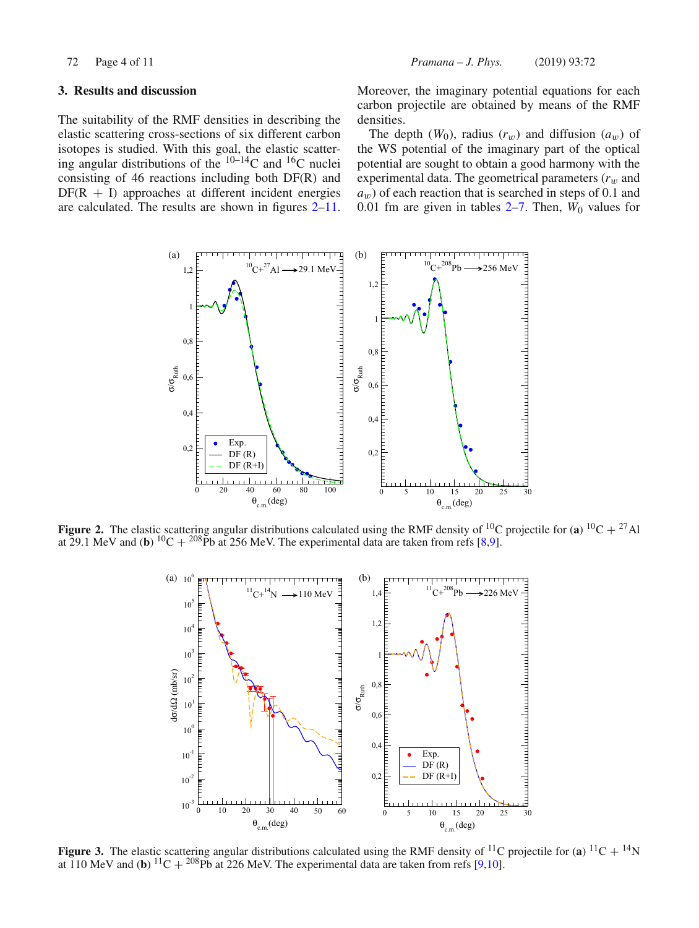### **3. Results and discussion**

The suitability of the RMF densities in describing the elastic scattering cross-sections of six different carbon isotopes is studied. With this goal, the elastic scattering angular distributions of the  $10-14$ C and  $16$ C nuclei consisting of 46 reactions including both DF(R) and  $DF(R + I)$  approaches at different incident energies are calculated. The results are shown in figures 2–11. Moreover, the imaginary potential equations for each carbon projectile are obtained by means of the RMF densities.

The depth  $(W_0)$ , radius  $(r_w)$  and diffusion  $(a_w)$  of the WS potential of the imaginary part of the optical potential are sought to obtain a good harmony with the experimental data. The geometrical parameters  $(r_w$  and  $a_w$ ) of each reaction that is searched in steps of 0.1 and 0.01 fm are given in tables  $2-7$ . Then,  $W_0$  values for



**Figure 2.** The elastic scattering angular distributions calculated using the RMF density of <sup>10</sup>C projectile for (**a**) <sup>10</sup>C + <sup>27</sup>Al at 29.1 MeV and (**b**) <sup>10</sup>C + <sup>208</sup>Pb at 256 MeV. The experimental data are taken from refs [8,9].



**Figure 3.** The elastic scattering angular distributions calculated using the RMF density of <sup>11</sup>C projectile for (**a**) <sup>11</sup>C + <sup>14</sup>N at 110 MeV and (**b**)  $^{11}C + ^{208}Pb$  at 226 MeV. The experimental data are taken from refs [9,10].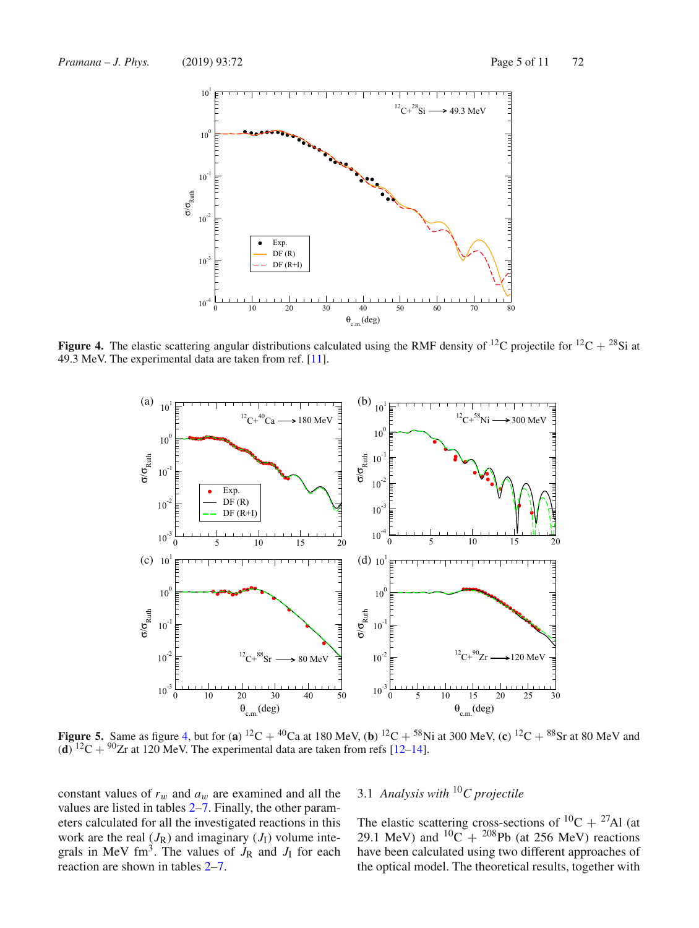

**Figure 4.** The elastic scattering angular distributions calculated using the RMF density of <sup>12</sup>C projectile for <sup>12</sup>C + <sup>28</sup>Si at 49.3 MeV. The experimental data are taken from ref. [11].

![](_page_4_Figure_4.jpeg)

**Figure 5.** Same as figure 4, but for (**a**) <sup>12</sup>C + <sup>40</sup>Ca at 180 MeV, (**b**) <sup>12</sup>C + <sup>58</sup>Ni at 300 MeV, (**c**) <sup>12</sup>C + <sup>88</sup>Sr at 80 MeV and  $(d)$ <sup>12</sup>C + <sup>90</sup>Zr at 120 MeV. The experimental data are taken from refs [12–14].

constant values of  $r_w$  and  $a_w$  are examined and all the values are listed in tables 2–7. Finally, the other parameters calculated for all the investigated reactions in this work are the real  $(J_R)$  and imaginary  $(J_I)$  volume integrals in MeV fm<sup>3</sup>. The values of  $J_R$  and  $J_I$  for each reaction are shown in tables 2–7.

# 3.1 *Analysis with* <sup>10</sup>*C projectile*

The elastic scattering cross-sections of  ${}^{10}C + {}^{27}Al$  (at 29.1 MeV) and  ${}^{10}C + {}^{208}Pb$  (at 256 MeV) reactions have been calculated using two different approaches of the optical model. The theoretical results, together with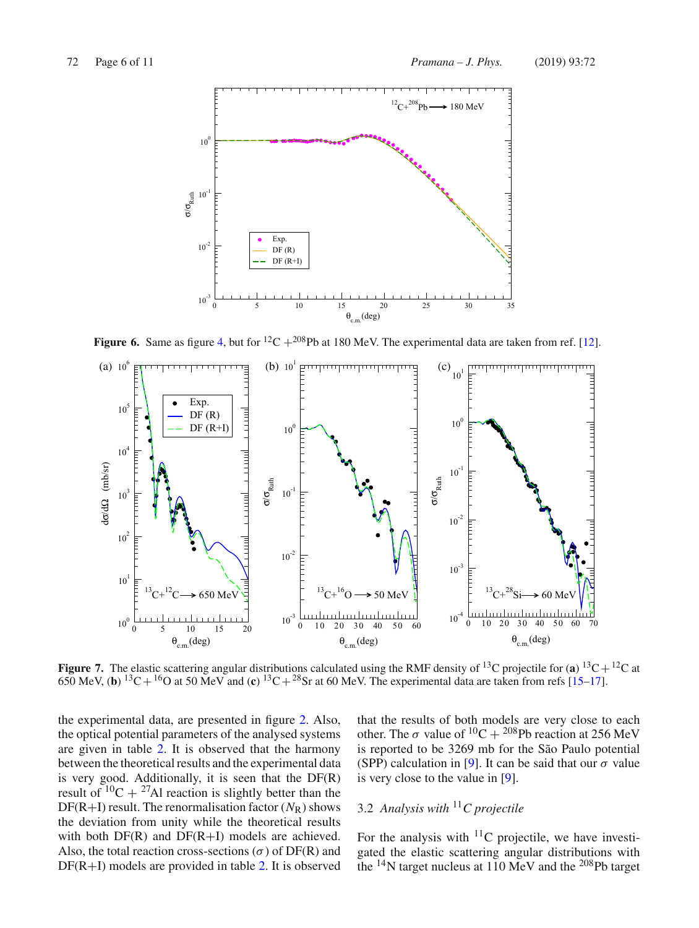![](_page_5_Figure_2.jpeg)

**Figure 6.** Same as figure 4, but for <sup>12</sup>C + <sup>208</sup>Pb at 180 MeV. The experimental data are taken from ref. [12].

![](_page_5_Figure_4.jpeg)

**Figure 7.** The elastic scattering angular distributions calculated using the RMF density of <sup>13</sup>C projectile for (a) <sup>13</sup>C + <sup>12</sup>C at 650 MeV, (**b**) <sup>13</sup>C + <sup>16</sup>O at 50 MeV and (**c**) <sup>13</sup>C + <sup>28</sup>Sr at 60 MeV. The experimental data are taken from refs [15–17].

the experimental data, are presented in figure 2. Also, the optical potential parameters of the analysed systems are given in table 2. It is observed that the harmony between the theoretical results and the experimental data is very good. Additionally, it is seen that the  $DF(R)$ result of  $^{10}C + ^{27}Al$  reaction is slightly better than the  $DF(R+I)$  result. The renormalisation factor  $(N_R)$  shows the deviation from unity while the theoretical results with both  $DF(R)$  and  $DF(R+I)$  models are achieved. Also, the total reaction cross-sections ( $\sigma$ ) of DF(R) and  $DF(R+I)$  models are provided in table 2. It is observed

that the results of both models are very close to each other. The  $\sigma$  value of <sup>10</sup>C + <sup>208</sup>Pb reaction at 256 MeV is reported to be 3269 mb for the São Paulo potential (SPP) calculation in [9]. It can be said that our  $\sigma$  value is very close to the value in [9].

# 3.2 *Analysis with* <sup>11</sup>*C projectile*

For the analysis with  $^{11}$ C projectile, we have investigated the elastic scattering angular distributions with the  $^{14}$ N target nucleus at 110 MeV and the  $^{208}$ Pb target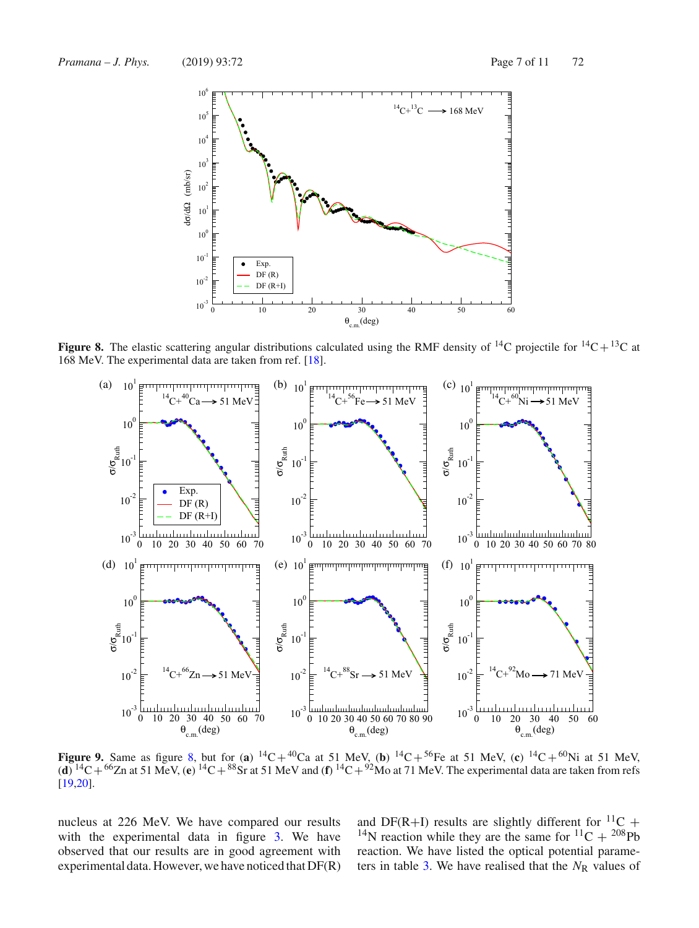![](_page_6_Figure_2.jpeg)

**Figure 8.** The elastic scattering angular distributions calculated using the RMF density of  $^{14}C$  projectile for  $^{14}C + ^{13}C$  at 168 MeV. The experimental data are taken from ref. [18].

![](_page_6_Figure_4.jpeg)

**Figure 9.** Same as figure 8, but for (**a**)  $^{14}C + ^{40}Ca$  at 51 MeV, (**b**)  $^{14}C + ^{56}Fe$  at 51 MeV, (**c**)  $^{14}C + ^{60}Ni$  at 51 MeV,  $^{14}C + ^{60}Ni$  at 51 MeV,  $(d)$  <sup>14</sup>C + <sup>66</sup>Zn at 51 MeV, (e) <sup>14</sup>C + <sup>88</sup>Sr at 51 MeV and (f) <sup>14</sup>C + <sup>92</sup>Mo at 71 MeV. The experimental data are taken from refs [19,20].

nucleus at 226 MeV. We have compared our results with the experimental data in figure 3. We have observed that our results are in good agreement with experimental data. However, we have noticed that DF(R) and DF(R+I) results are slightly different for  $^{11}C$  + <sup>14</sup>N reaction while they are the same for <sup>11</sup>C + <sup>208</sup>Pb reaction. We have listed the optical potential parameters in table 3. We have realised that the  $N_R$  values of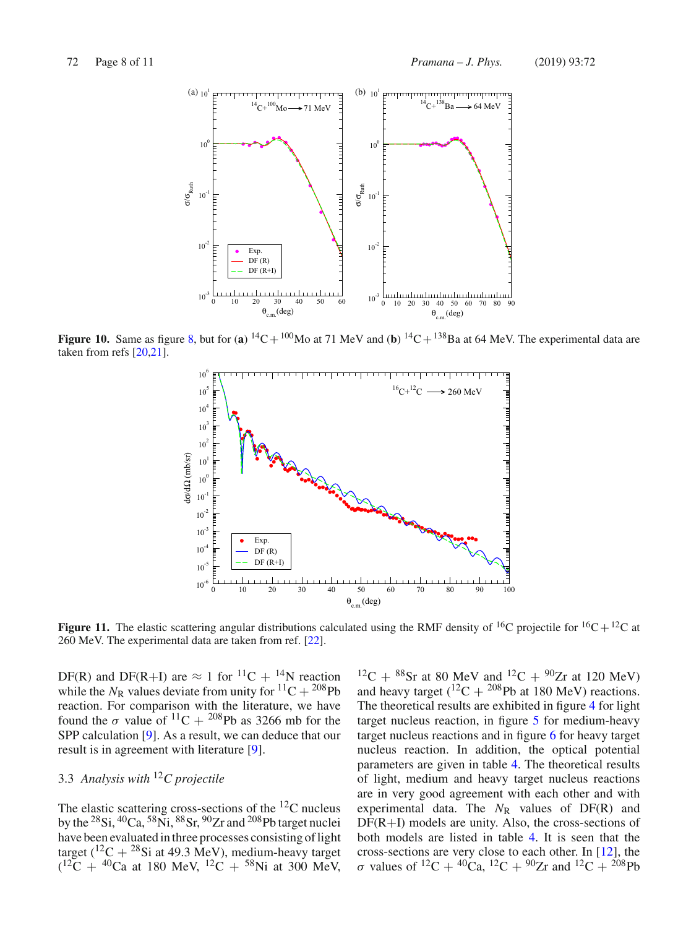![](_page_7_Figure_2.jpeg)

**Figure 10.** Same as figure 8, but for (a)  ${}^{14}C + {}^{100}Mo$  at 71 MeV and (b)  ${}^{14}C + {}^{138}Ba$  at 64 MeV. The experimental data are taken from refs [20,21].

![](_page_7_Figure_4.jpeg)

**Figure 11.** The elastic scattering angular distributions calculated using the RMF density of <sup>16</sup>C projectile for <sup>16</sup>C+<sup>12</sup>C at 260 MeV. The experimental data are taken from ref. [22].

DF(R) and DF(R+I) are  $\approx 1$  for <sup>11</sup>C + <sup>14</sup>N reaction while the  $N_R$  values deviate from unity for  ${}^{11}C + {}^{208}Pb$ reaction. For comparison with the literature, we have found the  $\sigma$  value of  $^{11}C + ^{208}Pb$  as 3266 mb for the SPP calculation [9]. As a result, we can deduce that our result is in agreement with literature [9].

### 3.3 *Analysis with* <sup>12</sup>*C projectile*

The elastic scattering cross-sections of the  ${}^{12}C$  nucleus by the  $^{28}$ Si,  $^{40}$ Ca,  $^{58}$ Ni,  $^{88}$ Sr,  $^{90}$ Zr and  $^{208}$ Pb target nuclei have been evaluated in three processes consisting of light target (<sup>12</sup>C + <sup>28</sup>Si at 49.3 MeV), medium-heavy target  $(^{12}C + ^{40}Ca$  at 180 MeV,  $^{12}C + ^{58}Ni$  at 300 MeV,

 $^{12}C + ^{88}Sr$  at 80 MeV and  $^{12}C + ^{90}Zr$  at 120 MeV) and heavy target  $(^{12}C + ^{208}Pb$  at 180 MeV) reactions. The theoretical results are exhibited in figure 4 for light target nucleus reaction, in figure 5 for medium-heavy target nucleus reactions and in figure 6 for heavy target nucleus reaction. In addition, the optical potential parameters are given in table 4. The theoretical results of light, medium and heavy target nucleus reactions are in very good agreement with each other and with experimental data. The  $N_R$  values of  $DF(R)$  and DF(R+I) models are unity. Also, the cross-sections of both models are listed in table 4. It is seen that the cross-sections are very close to each other. In [12], the σ values of <sup>12</sup>C + <sup>40</sup>Ca, <sup>12</sup>C + <sup>90</sup>Zr and <sup>12</sup>C + <sup>208</sup>Pb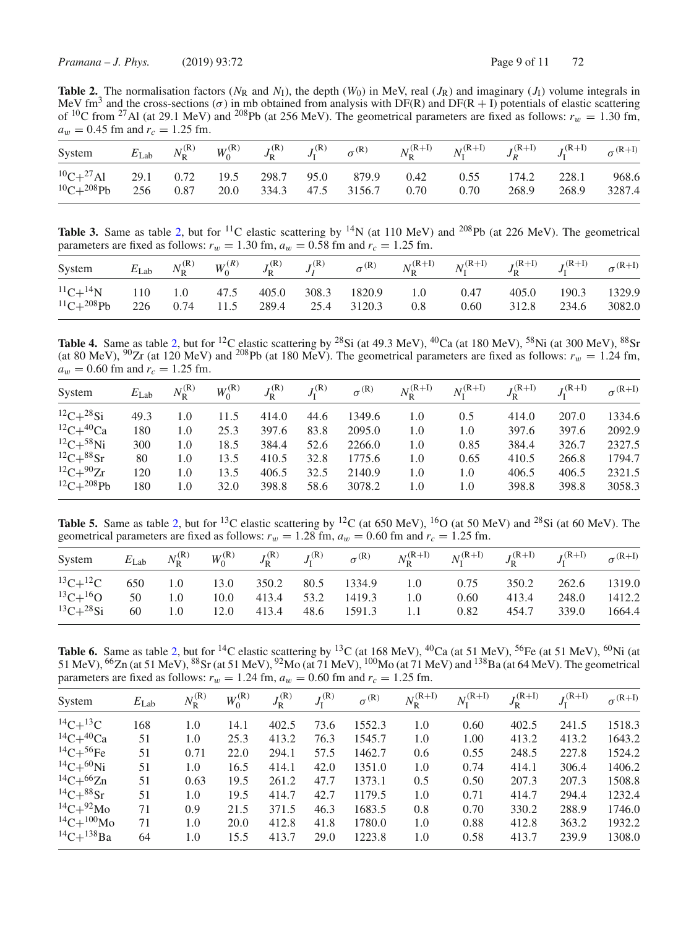**Table 2.** The normalisation factors ( $N_R$  and  $N_I$ ), the depth ( $W_0$ ) in MeV, real ( $J_R$ ) and imaginary ( $J_I$ ) volume integrals in MeV fm<sup>3</sup> and the cross-sections ( $\sigma$ ) in mb obtained from analysis with DF(R) and DF(R + I) potentials of elastic scattering of <sup>10</sup>C from <sup>27</sup>Al (at 29.1 MeV) and <sup>208</sup>Pb (at 256 MeV). The geometrical parameters are fixed as follows:  $r_w = 1.30$  fm,  $a_w = 0.45$  fm and  $r_c = 1.25$  fm.

| System $E_{\text{Lab}}$ $N_R^{(R)}$ $W_0^{(R)}$ $J_R^{(R)}$ $J_I^{(R)}$ $\sigma^{(R)}$ $N_R^{(R+I)}$ $N_I^{(R+I)}$ $J_R^{(R+I)}$ $J_I^{(R+I)}$ $\sigma^{(R+I)}$        |  |  |  |  |  |  |
|------------------------------------------------------------------------------------------------------------------------------------------------------------------------|--|--|--|--|--|--|
| ${}^{10}C+{}^{27}Al$ 29.1 0.72 19.5 298.7 95.0 879.9 0.42 0.55 174.2 228.1 968.6<br>${}^{10}C+{}^{208}Pb$ 256 0.87 20.0 334.3 47.5 3156.7 0.70 0.70 268.9 268.9 3287.4 |  |  |  |  |  |  |

**Table 3.** Same as table 2, but for <sup>11</sup>C elastic scattering by <sup>14</sup>N (at 110 MeV) and <sup>208</sup>Pb (at 226 MeV). The geometrical parameters are fixed as follows:  $r_w = 1.30$  fm,  $a_w = 0.58$  fm and  $r_c = 1.25$  fm.

| System                                                                                |  |  |  |                                     | $E_{\rm Lab}$ $N^{(\rm R)}_{\rm R}$ $W^{(\rm R)}_{0}$ $J^{(\rm R)}_{\rm R}$ $J^{(\rm R)}_{I}$ $\sigma^{(\rm R)}$ $N^{(\rm R+I)}_{\rm R}$ $N^{(\rm R+I)}_{\rm I}$ $J^{(\rm R+I)}_{\rm R}$ $J^{(\rm R+I)}_{\rm I}$ $\sigma^{(\rm R+I)}$ |                         |                    |  |
|---------------------------------------------------------------------------------------|--|--|--|-------------------------------------|---------------------------------------------------------------------------------------------------------------------------------------------------------------------------------------------------------------------------------------|-------------------------|--------------------|--|
| ${}^{11}C+{}^{14}N$ 110 1.0 47.5 405.0 308.3 1820.9 1.0 0.47<br>${}^{11}C+{}^{208}Pb$ |  |  |  | 226 0.74 11.5 289.4 25.4 3120.3 0.8 |                                                                                                                                                                                                                                       | 0.60 312.8 234.6 3082.0 | 405.0 190.3 1329.9 |  |

**Table 4.** Same as table 2, but for <sup>12</sup>C elastic scattering by <sup>28</sup>Si (at 49.3 MeV), <sup>40</sup>Ca (at 180 MeV), <sup>58</sup>Ni (at 300 MeV), <sup>88</sup>Sr (at 80 MeV), <sup>90</sup>Zr (at 120 MeV) and <sup>208</sup>Pb (at 180 MeV). The geometrical parameters are fixed as follows:  $r_w = 1.24$  fm,  $a_w = 0.60$  fm and  $r_c = 1.25$  fm.

| System                | $E_{\rm Lab}$ | $N_{\rm R}^{\rm (R)}$ | $W_0^{(R)}$ | $J_{\rm p}^{\rm (R)}$ | $J_{\rm I}^{\rm (R)}$ | $\sigma^{(R)}$ | $N_{\rm R}^{(\rm R+I)}$ | $N_{\rm r}^{\rm (R+I)}$ | $J_{\rm R}^{(\rm R+I)}$ | $J_{\rm I}^{\rm (R+I)}$ | $\sigma^{(R+I)}$ |
|-----------------------|---------------|-----------------------|-------------|-----------------------|-----------------------|----------------|-------------------------|-------------------------|-------------------------|-------------------------|------------------|
| ${}^{12}C+{}^{28}Si$  | 49.3          | 1.0                   | 11.5        | 414.0                 | 44.6                  | 1349.6         | 1.0                     | 0.5                     | 414.0                   | 207.0                   | 1334.6           |
| ${}^{12}C+{}^{40}Ca$  | 180           | 1.0                   | 25.3        | 397.6                 | 83.8                  | 2095.0         | 1.0                     | 1.0                     | 397.6                   | 397.6                   | 2092.9           |
| ${}^{12}C+{}^{58}Ni$  | 300           | 1.0                   | 18.5        | 384.4                 | 52.6                  | 2266.0         | 1.0                     | 0.85                    | 384.4                   | 326.7                   | 2327.5           |
| $^{12}C+^{88}Sr$      | 80            | 1.0                   | 13.5        | 410.5                 | 32.8                  | 1775.6         | 1.0                     | 0.65                    | 410.5                   | 266.8                   | 1794.7           |
| ${}^{12}C+{}^{90}Zr$  | 120           | 1.0                   | 13.5        | 406.5                 | 32.5                  | 2140.9         | 1.0                     | 1.0                     | 406.5                   | 406.5                   | 2321.5           |
| ${}^{12}C+{}^{208}Pb$ | 180           | 1.0                   | 32.0        | 398.8                 | 58.6                  | 3078.2         | 1.0                     | 1.0                     | 398.8                   | 398.8                   | 3058.3           |

**Table 5.** Same as table 2, but for <sup>13</sup>C elastic scattering by <sup>12</sup>C (at 650 MeV), <sup>16</sup>O (at 50 MeV) and <sup>28</sup>Si (at 60 MeV). The geometrical parameters are fixed as follows:  $r_w = 1.28$  fm,  $a_w = 0.60$  fm and  $r_c = 1.25$  fm.

| System                                                 |    |     |      |            |             |     | $E_{\rm Lab}$ $N_{\rm R}^{(\rm R)}$ $W_0^{(\rm R)}$ $J_{\rm R}^{(\rm R)}$ $J_{\rm I}^{(\rm R)}$ $\sigma^{(\rm R)}$ $N_{\rm R}^{(\rm R+I)}$ $N_{\rm I}^{(\rm R+I)}$ $J_{\rm R}^{(\rm R+I)}$ $J_{\rm I}^{(\rm R+I)}$ $\sigma^{(\rm R+I)}$ |       |       |              |
|--------------------------------------------------------|----|-----|------|------------|-------------|-----|-----------------------------------------------------------------------------------------------------------------------------------------------------------------------------------------------------------------------------------------|-------|-------|--------------|
| ${}^{13}C+{}^{12}C$ 650 1.0 13.0 350.2 80.5 1334.9 1.0 |    |     |      |            |             |     | 0.75                                                                                                                                                                                                                                    | 350.2 |       | 262.6 1319.0 |
| ${}^{13}C+{}^{16}O$ 50                                 |    | 1.0 | 10.0 | 413.4 53.2 | 1419.3      | 1.0 | 0.60                                                                                                                                                                                                                                    | 413.4 | 248.0 | 1412.2       |
| $^{13}C+^{28}Si$                                       | 60 | 1.0 | 12.0 | 413.4      | 48.6 1591.3 | 1.1 | 0.82                                                                                                                                                                                                                                    | 454.7 | 339.0 | 1664.4       |

**Table 6.** Same as table 2, but for <sup>14</sup>C elastic scattering by <sup>13</sup>C (at 168 MeV), <sup>40</sup>Ca (at 51 MeV), <sup>56</sup>Fe (at 51 MeV), <sup>60</sup>Ni (at 51 MeV),  $^{66}$ Zn (at 51 MeV),  $^{88}$ Sr (at 51 MeV),  $^{92}$ Mo (at 71 MeV),  $^{100}$ Mo (at 71 MeV) and  $^{138}$ Ba (at 64 MeV). The geometrical parameters are fixed as follows:  $r_w = 1.24$  fm,  $a_w = 0.60$  fm and  $r_c = 1.25$  fm.

| System               | $E_{\rm Lab}$ | $N_{\rm R}^{\rm (R)}$ | $W_0^{(R)}$ | $J_{\rm R}^{\rm (R)}$ | $J_{\rm I}^{\rm (R)}$ | $\sigma^{(R)}$ | $N_{\rm R}^{(\rm R+I)}$ | $N_{\rm I}^{\rm (R+I)}$ | $J_{\rm R}^{(\rm R+I)}$ | $J_I^{(R+I)}$ | $\sigma^{(R+I)}$ |
|----------------------|---------------|-----------------------|-------------|-----------------------|-----------------------|----------------|-------------------------|-------------------------|-------------------------|---------------|------------------|
| $^{14}C+^{13}C$      | 168           | 1.0                   | 14.1        | 402.5                 | 73.6                  | 1552.3         | 1.0                     | 0.60                    | 402.5                   | 241.5         | 1518.3           |
| ${}^{14}C+{}^{40}Ca$ | 51            | 1.0                   | 25.3        | 413.2                 | 76.3                  | 1545.7         | 1.0                     | 1.00                    | 413.2                   | 413.2         | 1643.2           |
| $^{14}C+^{56}Fe$     | 51            | 0.71                  | 22.0        | 294.1                 | 57.5                  | 1462.7         | 0.6                     | 0.55                    | 248.5                   | 227.8         | 1524.2           |
| $^{14}C+^{60}Ni$     | 51            | 1.0                   | 16.5        | 414.1                 | 42.0                  | 1351.0         | 1.0                     | 0.74                    | 414.1                   | 306.4         | 1406.2           |
| ${}^{14}C+{}^{66}Zn$ | 51            | 0.63                  | 19.5        | 261.2                 | 47.7                  | 1373.1         | 0.5                     | 0.50                    | 207.3                   | 207.3         | 1508.8           |
| $^{14}C+^{88}Sr$     | 51            | 1.0                   | 19.5        | 414.7                 | 42.7                  | 1179.5         | 1.0                     | 0.71                    | 414.7                   | 294.4         | 1232.4           |
| $^{14}C+^{92}Mo$     | 71            | 0.9                   | 21.5        | 371.5                 | 46.3                  | 1683.5         | 0.8                     | 0.70                    | 330.2                   | 288.9         | 1746.0           |
| $^{14}C+^{100}Mo$    | 71            | 1.0                   | 20.0        | 412.8                 | 41.8                  | 1780.0         | 1.0                     | 0.88                    | 412.8                   | 363.2         | 1932.2           |
| $^{14}C+^{138}Ba$    | 64            | 1.0                   | 15.5        | 413.7                 | 29.0                  | 1223.8         | 1.0                     | 0.58                    | 413.7                   | 239.9         | 1308.0           |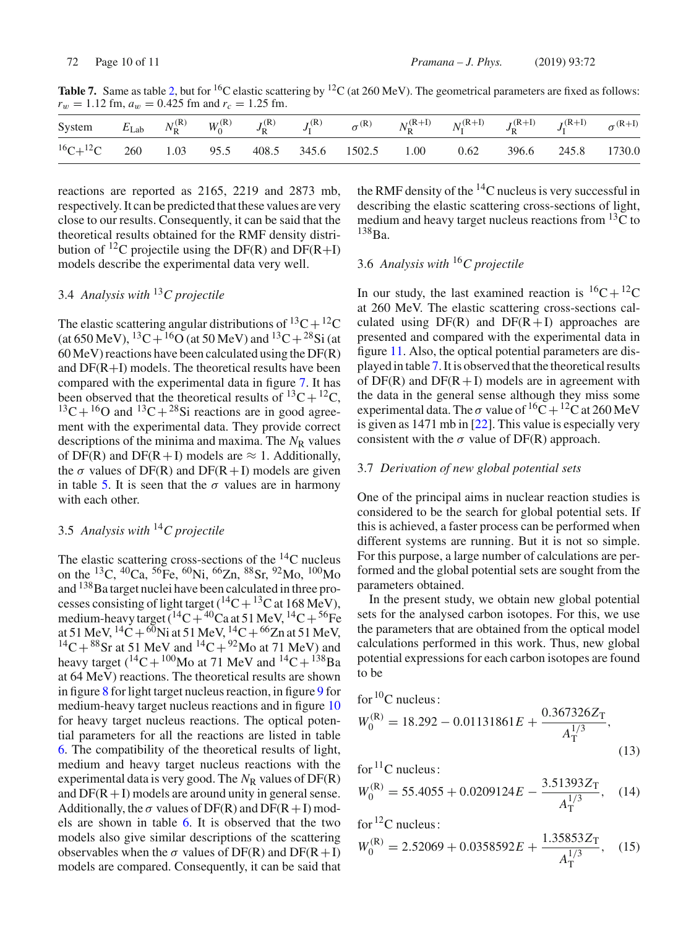**Table 7.** Same as table 2, but for <sup>16</sup>C elastic scattering by <sup>12</sup>C (at 260 MeV). The geometrical parameters are fixed as follows:  $r_w = 1.12$  fm,  $a_w = 0.425$  fm and  $r_c = 1.25$  fm.

| System $E_{\text{Lab}}$ $N_{\text{R}}^{(\text{R})}$ $W_0^{(\text{R})}$ $J_{\text{R}}^{(\text{R})}$ $J_{\text{I}}^{(\text{R})}$ $\sigma^{(\text{R})}$ $N_{\text{R}}^{(\text{R+I})}$ $N_{\text{I}}^{(\text{R+I})}$ $J_{\text{R}}^{(\text{R+I})}$ $J_{\text{I}}^{(\text{R+I})}$ $\sigma^{(\text{R+I})}$<br>and the state of the state of the |  |  |  |  |  |  |
|-------------------------------------------------------------------------------------------------------------------------------------------------------------------------------------------------------------------------------------------------------------------------------------------------------------------------------------------|--|--|--|--|--|--|
| ${}^{16}C+{}^{12}C$ 260 1.03 95.5 408.5 345.6 1502.5 1.00 0.62 396.6 245.8 1730.0                                                                                                                                                                                                                                                         |  |  |  |  |  |  |

reactions are reported as 2165, 2219 and 2873 mb, respectively. It can be predicted that these values are very close to our results. Consequently, it can be said that the theoretical results obtained for the RMF density distribution of <sup>12</sup>C projectile using the DF(R) and DF(R+I) models describe the experimental data very well.

### 3.4 *Analysis with* <sup>13</sup>*C projectile*

The elastic scattering angular distributions of  ${}^{13}C+{}^{12}C$ (at 650 MeV),  ${}^{13}C+{}^{16}O$  (at 50 MeV) and  ${}^{13}C+{}^{28}Si$  (at 60 MeV) reactions have been calculated using the DF(R) and  $DF(R+I)$  models. The theoretical results have been compared with the experimental data in figure 7. It has been observed that the theoretical results of  ${}^{13}C+{}^{12}C$ ,  $^{13}C+^{16}O$  and  $^{13}C+^{28}Si$  reactions are in good agreement with the experimental data. They provide correct descriptions of the minima and maxima. The N<sub>R</sub> values of DF(R) and DF(R+I) models are  $\approx$  1. Additionally, the  $\sigma$  values of DF(R) and DF(R+I) models are given in table 5. It is seen that the  $\sigma$  values are in harmony with each other.

### 3.5 *Analysis with* <sup>14</sup>*C projectile*

The elastic scattering cross-sections of the  $^{14}$ C nucleus on the <sup>13</sup>C, <sup>40</sup>Ca, <sup>56</sup>Fe, <sup>60</sup>Ni, <sup>66</sup>Zn, <sup>88</sup>Sr, <sup>92</sup>Mo, <sup>100</sup>Mo and <sup>138</sup>Ba target nuclei have been calculated in three processes consisting of light target ( ${}^{14}C+{}^{13}C$  at 168 MeV), medium-heavy target  $(^{14}C+^{40}Ca$  at 51 MeV,  $^{14}C+^{56}Fe$ at 51 MeV,  ${}^{14}C + {}^{60}Ni$  at 51 MeV,  ${}^{14}C + {}^{66}Zn$  at 51 MeV,  $^{14}C+^{88}Sr$  at 51 MeV and  $^{14}C+^{92}Mo$  at 71 MeV) and heavy target  $({}^{14}C+{}^{100}Mo$  at 71 MeV and  ${}^{14}C+{}^{138}Ba$ at 64 MeV) reactions. The theoretical results are shown in figure 8 for light target nucleus reaction, in figure 9 for medium-heavy target nucleus reactions and in figure 10 for heavy target nucleus reactions. The optical potential parameters for all the reactions are listed in table 6. The compatibility of the theoretical results of light, medium and heavy target nucleus reactions with the experimental data is very good. The  $N_R$  values of DF(R) and  $DF(R+I)$  models are around unity in general sense. Additionally, the  $\sigma$  values of DF(R) and DF(R + I) models are shown in table 6. It is observed that the two models also give similar descriptions of the scattering observables when the  $\sigma$  values of DF(R) and DF(R+I) models are compared. Consequently, it can be said that the RMF density of the  $^{14}$ C nucleus is very successful in describing the elastic scattering cross-sections of light, medium and heavy target nucleus reactions from  ${}^{13}C$  to  $138$ Ba.

## 3.6 *Analysis with* <sup>16</sup>*C projectile*

In our study, the last examined reaction is  ${}^{16}C+{}^{12}C$ at 260 MeV. The elastic scattering cross-sections calculated using  $DF(R)$  and  $DF(R+I)$  approaches are presented and compared with the experimental data in figure 11. Also, the optical potential parameters are displayed in table 7. It is observed that the theoretical results of  $DF(R)$  and  $DF(R+I)$  models are in agreement with the data in the general sense although they miss some experimental data. The  $\sigma$  value of <sup>16</sup>C + <sup>12</sup>C at 260 MeV is given as 1471 mb in [22]. This value is especially very consistent with the  $\sigma$  value of DF(R) approach.

### 3.7 *Derivation of new global potential sets*

One of the principal aims in nuclear reaction studies is considered to be the search for global potential sets. If this is achieved, a faster process can be performed when different systems are running. But it is not so simple. For this purpose, a large number of calculations are performed and the global potential sets are sought from the parameters obtained.

In the present study, we obtain new global potential sets for the analysed carbon isotopes. For this, we use the parameters that are obtained from the optical model calculations performed in this work. Thus, new global potential expressions for each carbon isotopes are found to be

for <sup>10</sup>C nucleus :  
\n
$$
W_0^{(R)} = 18.292 - 0.01131861E + \frac{0.367326Z_T}{A_T^{1/3}},
$$
\n(13)

for <sup>11</sup>C nucleus:  

$$
W^{(R)} = 55.4955 + 0.0200124E = 3.51393Z_{T}
$$

$$
W_0^{(R)} = 55.4055 + 0.0209124E - \frac{3.51393Z_T}{A_T^{1/3}},
$$
 (14)

for 12C nucleus:

$$
W_0^{(R)} = 2.52069 + 0.0358592E + \frac{1.35853Z_T}{A_T^{1/3}},
$$
 (15)